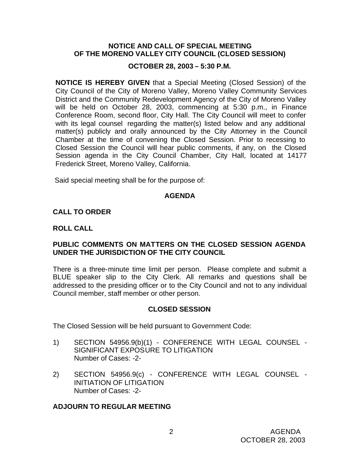### **NOTICE AND CALL OF SPECIAL MEETING OF THE MORENO VALLEY CITY COUNCIL (CLOSED SESSION)**

## **OCTOBER 28, 2003 – 5:30 P.M.**

**NOTICE IS HEREBY GIVEN** that a Special Meeting (Closed Session) of the City Council of the City of Moreno Valley, Moreno Valley Community Services District and the Community Redevelopment Agency of the City of Moreno Valley will be held on October 28, 2003, commencing at 5:30 p.m., in Finance Conference Room, second floor, City Hall. The City Council will meet to confer with its legal counsel regarding the matter(s) listed below and any additional matter(s) publicly and orally announced by the City Attorney in the Council Chamber at the time of convening the Closed Session. Prior to recessing to Closed Session the Council will hear public comments, if any, on the Closed Session agenda in the City Council Chamber, City Hall, located at 14177 Frederick Street, Moreno Valley, California.

Said special meeting shall be for the purpose of:

## **AGENDA**

## **CALL TO ORDER**

## **ROLL CALL**

## **PUBLIC COMMENTS ON MATTERS ON THE CLOSED SESSION AGENDA UNDER THE JURISDICTION OF THE CITY COUNCIL**

There is a three-minute time limit per person. Please complete and submit a BLUE speaker slip to the City Clerk. All remarks and questions shall be addressed to the presiding officer or to the City Council and not to any individual Council member, staff member or other person.

## **CLOSED SESSION**

The Closed Session will be held pursuant to Government Code:

- 1) SECTION 54956.9(b)(1) CONFERENCE WITH LEGAL COUNSEL SIGNIFICANT EXPOSURE TO LITIGATION Number of Cases: -2-
- 2) SECTION 54956.9(c) CONFERENCE WITH LEGAL COUNSEL INITIATION OF LITIGATION Number of Cases: -2-

## **ADJOURN TO REGULAR MEETING**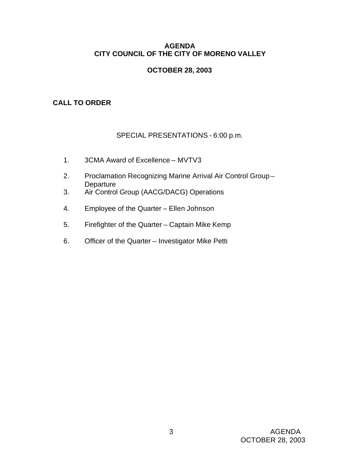## **AGENDA CITY COUNCIL OF THE CITY OF MORENO VALLEY**

## **OCTOBER 28, 2003**

# **CALL TO ORDER**

# SPECIAL PRESENTATIONS - 6:00 p.m.

- 1. 3CMA Award of Excellence MVTV3
- 2. Proclamation Recognizing Marine Arrival Air Control Group **Departure**
- 3. Air Control Group (AACG/DACG) Operations
- 4. Employee of the Quarter Ellen Johnson
- 5. Firefighter of the Quarter Captain Mike Kemp
- 6. Officer of the Quarter Investigator Mike Petti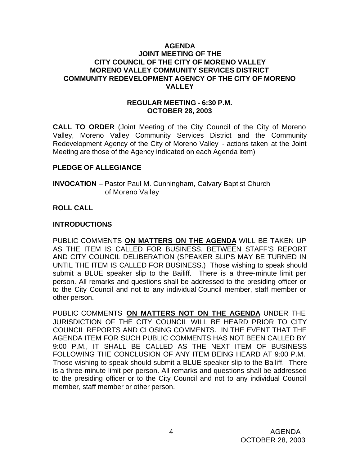### **AGENDA JOINT MEETING OF THE CITY COUNCIL OF THE CITY OF MORENO VALLEY MORENO VALLEY COMMUNITY SERVICES DISTRICT COMMUNITY REDEVELOPMENT AGENCY OF THE CITY OF MORENO VALLEY**

### **REGULAR MEETING - 6:30 P.M. OCTOBER 28, 2003**

**CALL TO ORDER** (Joint Meeting of the City Council of the City of Moreno Valley, Moreno Valley Community Services District and the Community Redevelopment Agency of the City of Moreno Valley - actions taken at the Joint Meeting are those of the Agency indicated on each Agenda item)

## **PLEDGE OF ALLEGIANCE**

**INVOCATION** – Pastor Paul M. Cunningham, Calvary Baptist Church of Moreno Valley

## **ROLL CALL**

### **INTRODUCTIONS**

PUBLIC COMMENTS **ON MATTERS ON THE AGENDA** WILL BE TAKEN UP AS THE ITEM IS CALLED FOR BUSINESS, BETWEEN STAFF'S REPORT AND CITY COUNCIL DELIBERATION (SPEAKER SLIPS MAY BE TURNED IN UNTIL THE ITEM IS CALLED FOR BUSINESS.) Those wishing to speak should submit a BLUE speaker slip to the Bailiff. There is a three-minute limit per person. All remarks and questions shall be addressed to the presiding officer or to the City Council and not to any individual Council member, staff member or other person.

PUBLIC COMMENTS **ON MATTERS NOT ON THE AGENDA** UNDER THE JURISDICTION OF THE CITY COUNCIL WILL BE HEARD PRIOR TO CITY COUNCIL REPORTS AND CLOSING COMMENTS. IN THE EVENT THAT THE AGENDA ITEM FOR SUCH PUBLIC COMMENTS HAS NOT BEEN CALLED BY 9:00 P.M., IT SHALL BE CALLED AS THE NEXT ITEM OF BUSINESS FOLLOWING THE CONCLUSION OF ANY ITEM BEING HEARD AT 9:00 P.M. Those wishing to speak should submit a BLUE speaker slip to the Bailiff. There is a three-minute limit per person. All remarks and questions shall be addressed to the presiding officer or to the City Council and not to any individual Council member, staff member or other person.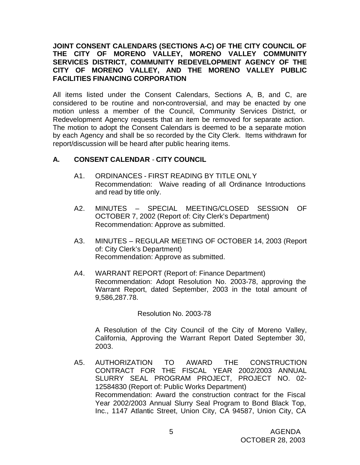## **JOINT CONSENT CALENDARS (SECTIONS A-C) OF THE CITY COUNCIL OF THE CITY OF MORENO VALLEY, MORENO VALLEY COMMUNITY SERVICES DISTRICT, COMMUNITY REDEVELOPMENT AGENCY OF THE CITY OF MORENO VALLEY, AND THE MORENO VALLEY PUBLIC FACILITIES FINANCING CORPORATION**

All items listed under the Consent Calendars, Sections A, B, and C, are considered to be routine and non-controversial, and may be enacted by one motion unless a member of the Council, Community Services District, or Redevelopment Agency requests that an item be removed for separate action. The motion to adopt the Consent Calendars is deemed to be a separate motion by each Agency and shall be so recorded by the City Clerk. Items withdrawn for report/discussion will be heard after public hearing items.

## **A. CONSENT CALENDAR** - **CITY COUNCIL**

- A1. ORDINANCES FIRST READING BY TITLE ONLY Recommendation: Waive reading of all Ordinance Introductions and read by title only.
- A2. MINUTES SPECIAL MEETING/CLOSED SESSION OF OCTOBER 7, 2002 (Report of: City Clerk's Department) Recommendation: Approve as submitted.
- A3. MINUTES REGULAR MEETING OF OCTOBER 14, 2003 (Report of: City Clerk's Department) Recommendation: Approve as submitted.
- A4. WARRANT REPORT (Report of: Finance Department) Recommendation: Adopt Resolution No. 2003-78, approving the Warrant Report, dated September, 2003 in the total amount of 9,586,287.78.

Resolution No. 2003-78

A Resolution of the City Council of the City of Moreno Valley, California, Approving the Warrant Report Dated September 30, 2003.

A5. AUTHORIZATION TO AWARD THE CONSTRUCTION CONTRACT FOR THE FISCAL YEAR 2002/2003 ANNUAL SLURRY SEAL PROGRAM PROJECT, PROJECT NO. 02- 12584830 (Report of: Public Works Department) Recommendation: Award the construction contract for the Fiscal Year 2002/2003 Annual Slurry Seal Program to Bond Black Top, Inc., 1147 Atlantic Street, Union City, CA 94587, Union City, CA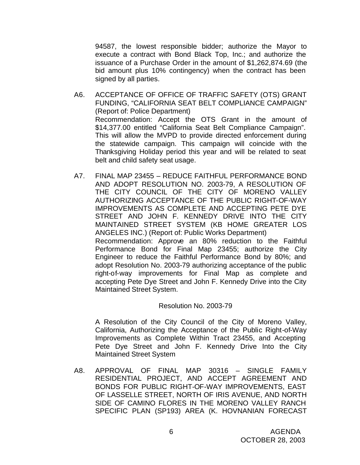94587, the lowest responsible bidder; authorize the Mayor to execute a contract with Bond Black Top, Inc.; and authorize the issuance of a Purchase Order in the amount of \$1,262,874.69 (the bid amount plus 10% contingency) when the contract has been signed by all parties.

- A6. ACCEPTANCE OF OFFICE OF TRAFFIC SAFETY (OTS) GRANT FUNDING, "CALIFORNIA SEAT BELT COMPLIANCE CAMPAIGN" (Report of: Police Department) Recommendation: Accept the OTS Grant in the amount of \$14,377.00 entitled "California Seat Belt Compliance Campaign". This will allow the MVPD to provide directed enforcement during the statewide campaign. This campaign will coincide with the Thanksgiving Holiday period this year and will be related to seat belt and child safety seat usage.
- A7. FINAL MAP 23455 REDUCE FAITHFUL PERFORMANCE BOND AND ADOPT RESOLUTION NO. 2003-79, A RESOLUTION OF THE CITY COUNCIL OF THE CITY OF MORENO VALLEY AUTHORIZING ACCEPTANCE OF THE PUBLIC RIGHT-OF-WAY IMPROVEMENTS AS COMPLETE AND ACCEPTING PETE DYE STREET AND JOHN F. KENNEDY DRIVE INTO THE CITY MAINTAINED STREET SYSTEM (KB HOME GREATER LOS ANGELES INC.) (Report of: Public Works Department) Recommendation: Approve an 80% reduction to the Faithful Performance Bond for Final Map 23455; authorize the City Engineer to reduce the Faithful Performance Bond by 80%; and adopt Resolution No. 2003-79 authorizing acceptance of the public right-of-way improvements for Final Map as complete and accepting Pete Dye Street and John F. Kennedy Drive into the City Maintained Street System.

#### Resolution No. 2003-79

A Resolution of the City Council of the City of Moreno Valley, California, Authorizing the Acceptance of the Public Right-of-Way Improvements as Complete Within Tract 23455, and Accepting Pete Dye Street and John F. Kennedy Drive Into the City Maintained Street System

A8. APPROVAL OF FINAL MAP 30316 – SINGLE FAMILY RESIDENTIAL PROJECT, AND ACCEPT AGREEMENT AND BONDS FOR PUBLIC RIGHT-OF-WAY IMPROVEMENTS, EAST OF LASSELLE STREET, NORTH OF IRIS AVENUE, AND NORTH SIDE OF CAMINO FLORES IN THE MORENO VALLEY RANCH SPECIFIC PLAN (SP193) AREA (K. HOVNANIAN FORECAST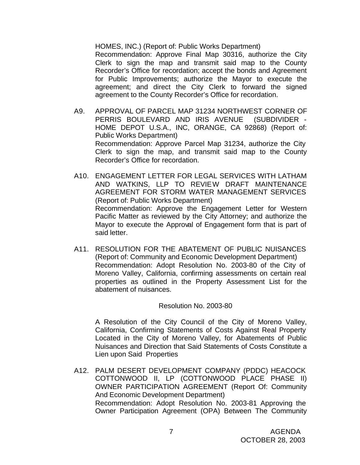HOMES, INC.) (Report of: Public Works Department)

Recommendation: Approve Final Map 30316, authorize the City Clerk to sign the map and transmit said map to the County Recorder's Office for recordation; accept the bonds and Agreement for Public Improvements; authorize the Mayor to execute the agreement; and direct the City Clerk to forward the signed agreement to the County Recorder's Office for recordation.

- A9. APPROVAL OF PARCEL MAP 31234 NORTHWEST CORNER OF PERRIS BOULEVARD AND IRIS AVENUE (SUBDIVIDER - HOME DEPOT U.S.A., INC, ORANGE, CA 92868) (Report of: Public Works Department) Recommendation: Approve Parcel Map 31234, authorize the City Clerk to sign the map, and transmit said map to the County Recorder's Office for recordation.
- A10. ENGAGEMENT LETTER FOR LEGAL SERVICES WITH LATHAM AND WATKINS, LLP TO REVIEW DRAFT MAINTENANCE AGREEMENT FOR STORM WATER MANAGEMENT SERVICES (Report of: Public Works Department) Recommendation: Approve the Engagement Letter for Western Pacific Matter as reviewed by the City Attorney; and authorize the Mayor to execute the Approval of Engagement form that is part of said letter.
- A11. RESOLUTION FOR THE ABATEMENT OF PUBLIC NUISANCES (Report of: Community and Economic Development Department) Recommendation: Adopt Resolution No. 2003-80 of the City of Moreno Valley, California, confirming assessments on certain real properties as outlined in the Property Assessment List for the abatement of nuisances.

#### Resolution No. 2003-80

A Resolution of the City Council of the City of Moreno Valley, California, Confirming Statements of Costs Against Real Property Located in the City of Moreno Valley, for Abatements of Public Nuisances and Direction that Said Statements of Costs Constitute a Lien upon Said Properties

A12. PALM DESERT DEVELOPMENT COMPANY (PDDC) HEACOCK COTTONWOOD II, LP (COTTONWOOD PLACE PHASE II) OWNER PARTICIPATION AGREEMENT (Report Of: Community And Economic Development Department) Recommendation: Adopt Resolution No. 2003-81 Approving the Owner Participation Agreement (OPA) Between The Community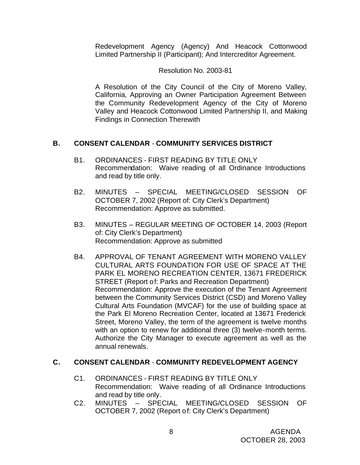Redevelopment Agency (Agency) And Heacock Cottonwood Limited Partnership II (Participant); And Intercreditor Agreement.

## Resolution No. 2003-81

A Resolution of the City Council of the City of Moreno Valley, California, Approving an Owner Participation Agreement Between the Community Redevelopment Agency of the City of Moreno Valley and Heacock Cottonwood Limited Partnership II, and Making Findings in Connection Therewith

# **B. CONSENT CALENDAR** - **COMMUNITY SERVICES DISTRICT**

- B1. ORDINANCES FIRST READING BY TITLE ONLY Recommendation: Waive reading of all Ordinance Introductions and read by title only.
- B2. MINUTES SPECIAL MEETING/CLOSED SESSION OF OCTOBER 7, 2002 (Report of: City Clerk's Department) Recommendation: Approve as submitted.
- B3. MINUTES REGULAR MEETING OF OCTOBER 14, 2003 (Report of: City Clerk's Department) Recommendation: Approve as submitted
- B4. APPROVAL OF TENANT AGREEMENT WITH MORENO VALLEY CULTURAL ARTS FOUNDATION FOR USE OF SPACE AT THE PARK EL MORENO RECREATION CENTER, 13671 FREDERICK STREET (Report of: Parks and Recreation Department) Recommendation: Approve the execution of the Tenant Agreement between the Community Services District (CSD) and Moreno Valley Cultural Arts Foundation (MVCAF) for the use of building space at the Park El Moreno Recreation Center, located at 13671 Frederick Street, Moreno Valley, the term of the agreement is twelve months with an option to renew for additional three (3) twelve-month terms. Authorize the City Manager to execute agreement as well as the annual renewals.

# **C. CONSENT CALENDAR** - **COMMUNITY REDEVELOPMENT AGENCY**

- C1. ORDINANCES FIRST READING BY TITLE ONLY Recommendation: Waive reading of all Ordinance Introductions and read by title only.
- C2. MINUTES SPECIAL MEETING/CLOSED SESSION OF OCTOBER 7, 2002 (Report of: City Clerk's Department)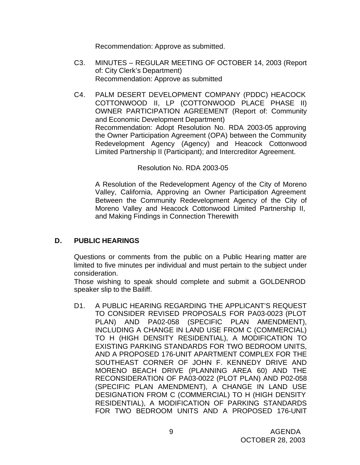Recommendation: Approve as submitted.

- C3. MINUTES REGULAR MEETING OF OCTOBER 14, 2003 (Report of: City Clerk's Department) Recommendation: Approve as submitted
- C4. PALM DESERT DEVELOPMENT COMPANY (PDDC) HEACOCK COTTONWOOD II, LP (COTTONWOOD PLACE PHASE II) OWNER PARTICIPATION AGREEMENT (Report of: Community and Economic Development Department) Recommendation: Adopt Resolution No. RDA 2003-05 approving the Owner Participation Agreement (OPA) between the Community Redevelopment Agency (Agency) and Heacock Cottonwood Limited Partnership II (Participant); and Intercreditor Agreement.

## Resolution No. RDA 2003-05

A Resolution of the Redevelopment Agency of the City of Moreno Valley, California, Approving an Owner Participation Agreement Between the Community Redevelopment Agency of the City of Moreno Valley and Heacock Cottonwood Limited Partnership II, and Making Findings in Connection Therewith

# **D. PUBLIC HEARINGS**

Questions or comments from the public on a Public Hearing matter are limited to five minutes per individual and must pertain to the subject under consideration.

Those wishing to speak should complete and submit a GOLDENROD speaker slip to the Bailiff.

D1. A PUBLIC HEARING REGARDING THE APPLICANT'S REQUEST TO CONSIDER REVISED PROPOSALS FOR PA03-0023 (PLOT PLAN) AND PA02-058 (SPECIFIC PLAN AMENDMENT), INCLUDING A CHANGE IN LAND USE FROM C (COMMERCIAL) TO H (HIGH DENSITY RESIDENTIAL), A MODIFICATION TO EXISTING PARKING STANDARDS FOR TWO BEDROOM UNITS, AND A PROPOSED 176-UNIT APARTMENT COMPLEX FOR THE SOUTHEAST CORNER OF JOHN F. KENNEDY DRIVE AND MORENO BEACH DRIVE (PLANNING AREA 60) AND THE RECONSIDERATION OF PA03-0022 (PLOT PLAN) AND P02-058 (SPECIFIC PLAN AMENDMENT), A CHANGE IN LAND USE DESIGNATION FROM C (COMMERCIAL) TO H (HIGH DENSITY RESIDENTIAL), A MODIFICATION OF PARKING STANDARDS FOR TWO BEDROOM UNITS AND A PROPOSED 176-UNIT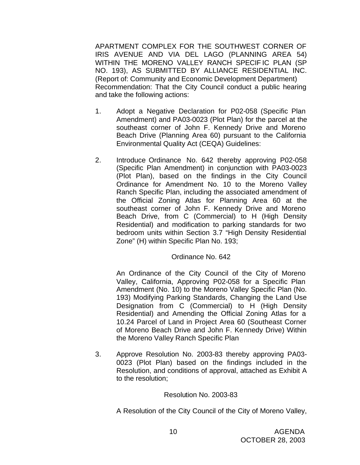APARTMENT COMPLEX FOR THE SOUTHWEST CORNER OF IRIS AVENUE AND VIA DEL LAGO (PLANNING AREA 54) WITHIN THE MORENO VALLEY RANCH SPECIF IC PLAN (SP NO. 193), AS SUBMITTED BY ALLIANCE RESIDENTIAL INC. (Report of: Community and Economic Development Department) Recommendation: That the City Council conduct a public hearing and take the following actions:

- 1. Adopt a Negative Declaration for P02-058 (Specific Plan Amendment) and PA03-0023 (Plot Plan) for the parcel at the southeast corner of John F. Kennedy Drive and Moreno Beach Drive (Planning Area 60) pursuant to the California Environmental Quality Act (CEQA) Guidelines:
- 2. Introduce Ordinance No. 642 thereby approving P02-058 (Specific Plan Amendment) in conjunction with PA03-0023 (Plot Plan), based on the findings in the City Council Ordinance for Amendment No. 10 to the Moreno Valley Ranch Specific Plan, including the associated amendment of the Official Zoning Atlas for Planning Area 60 at the southeast corner of John F. Kennedy Drive and Moreno Beach Drive, from C (Commercial) to H (High Density Residential) and modification to parking standards for two bedroom units within Section 3.7 "High Density Residential Zone" (H) within Specific Plan No. 193;

## Ordinance No. 642

An Ordinance of the City Council of the City of Moreno Valley, California, Approving P02-058 for a Specific Plan Amendment (No. 10) to the Moreno Valley Specific Plan (No. 193) Modifying Parking Standards, Changing the Land Use Designation from C (Commercial) to H (High Density Residential) and Amending the Official Zoning Atlas for a 10.24 Parcel of Land in Project Area 60 (Southeast Corner of Moreno Beach Drive and John F. Kennedy Drive) Within the Moreno Valley Ranch Specific Plan

3. Approve Resolution No. 2003-83 thereby approving PA03- 0023 (Plot Plan) based on the findings included in the Resolution, and conditions of approval, attached as Exhibit A to the resolution;

#### Resolution No. 2003-83

A Resolution of the City Council of the City of Moreno Valley,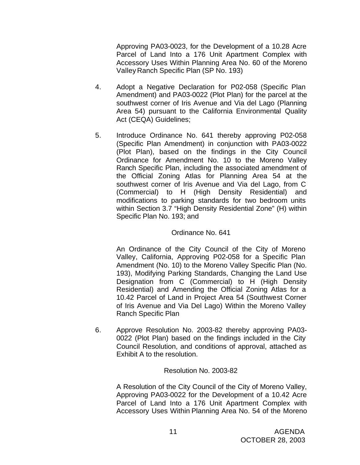Approving PA03-0023, for the Development of a 10.28 Acre Parcel of Land Into a 176 Unit Apartment Complex with Accessory Uses Within Planning Area No. 60 of the Moreno Valley Ranch Specific Plan (SP No. 193)

- 4. Adopt a Negative Declaration for P02-058 (Specific Plan Amendment) and PA03-0022 (Plot Plan) for the parcel at the southwest corner of Iris Avenue and Via del Lago (Planning Area 54) pursuant to the California Environmental Quality Act (CEQA) Guidelines;
- 5. Introduce Ordinance No. 641 thereby approving P02-058 (Specific Plan Amendment) in conjunction with PA03-0022 (Plot Plan), based on the findings in the City Council Ordinance for Amendment No. 10 to the Moreno Valley Ranch Specific Plan, including the associated amendment of the Official Zoning Atlas for Planning Area 54 at the southwest corner of Iris Avenue and Via del Lago, from C (Commercial) to H (High Density Residential) and modifications to parking standards for two bedroom units within Section 3.7 "High Density Residential Zone" (H) within Specific Plan No. 193; and

### Ordinance No. 641

An Ordinance of the City Council of the City of Moreno Valley, California, Approving P02-058 for a Specific Plan Amendment (No. 10) to the Moreno Valley Specific Plan (No. 193), Modifying Parking Standards, Changing the Land Use Designation from C (Commercial) to H (High Density Residential) and Amending the Official Zoning Atlas for a 10.42 Parcel of Land in Project Area 54 (Southwest Corner of Iris Avenue and Via Del Lago) Within the Moreno Valley Ranch Specific Plan

6. Approve Resolution No. 2003-82 thereby approving PA03- 0022 (Plot Plan) based on the findings included in the City Council Resolution, and conditions of approval, attached as Exhibit A to the resolution.

#### Resolution No. 2003-82

A Resolution of the City Council of the City of Moreno Valley, Approving PA03-0022 for the Development of a 10.42 Acre Parcel of Land Into a 176 Unit Apartment Complex with Accessory Uses Within Planning Area No. 54 of the Moreno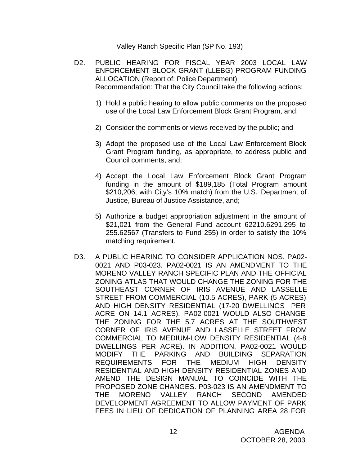Valley Ranch Specific Plan (SP No. 193)

- D2. PUBLIC HEARING FOR FISCAL YEAR 2003 LOCAL LAW ENFORCEMENT BLOCK GRANT (LLEBG) PROGRAM FUNDING ALLOCATION (Report of: Police Department) Recommendation: That the City Council take the following actions:
	- 1) Hold a public hearing to allow public comments on the proposed use of the Local Law Enforcement Block Grant Program, and;
	- 2) Consider the comments or views received by the public; and
	- 3) Adopt the proposed use of the Local Law Enforcement Block Grant Program funding, as appropriate, to address public and Council comments, and;
	- 4) Accept the Local Law Enforcement Block Grant Program funding in the amount of \$189,185 (Total Program amount \$210,206; with City's 10% match) from the U.S. Department of Justice, Bureau of Justice Assistance, and;
	- 5) Authorize a budget appropriation adjustment in the amount of \$21,021 from the General Fund account 62210.6291.295 to 255.62567 (Transfers to Fund 255) in order to satisfy the 10% matching requirement.
- D3. A PUBLIC HEARING TO CONSIDER APPLICATION NOS. PA02- 0021 AND P03-023. PA02-0021 IS AN AMENDMENT TO THE MORENO VALLEY RANCH SPECIFIC PLAN AND THE OFFICIAL ZONING ATLAS THAT WOULD CHANGE THE ZONING FOR THE SOUTHEAST CORNER OF IRIS AVENUE AND LASSELLE STREET FROM COMMERCIAL (10.5 ACRES), PARK (5 ACRES) AND HIGH DENSITY RESIDENTIAL (17-20 DWELLINGS PER ACRE ON 14.1 ACRES). PA02-0021 WOULD ALSO CHANGE THE ZONING FOR THE 5.7 ACRES AT THE SOUTHWEST CORNER OF IRIS AVENUE AND LASSELLE STREET FROM COMMERCIAL TO MEDIUM-LOW DENSITY RESIDENTIAL (4-8 DWELLINGS PER ACRE). IN ADDITION, PA02-0021 WOULD MODIFY THE PARKING AND BUILDING SEPARATION REQUIREMENTS FOR THE MEDIUM HIGH DENSITY RESIDENTIAL AND HIGH DENSITY RESIDENTIAL ZONES AND AMEND THE DESIGN MANUAL TO COINCIDE WITH THE PROPOSED ZONE CHANGES. P03-023 IS AN AMENDMENT TO THE MORENO VALLEY RANCH SECOND AMENDED DEVELOPMENT AGREEMENT TO ALLOW PAYMENT OF PARK FEES IN LIEU OF DEDICATION OF PLANNING AREA 28 FOR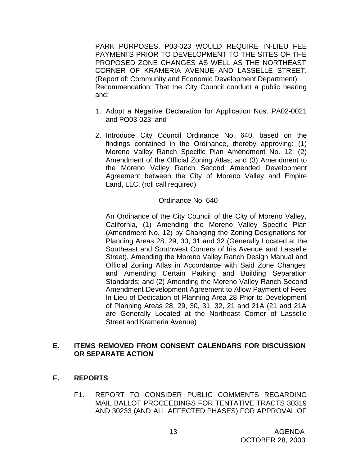PARK PURPOSES. P03-023 WOULD REQUIRE IN-LIEU FEE PAYMENTS PRIOR TO DEVELOPMENT TO THE SITES OF THE PROPOSED ZONE CHANGES AS WELL AS THE NORTHEAST CORNER OF KRAMERIA AVENUE AND LASSELLE STREET. (Report of: Community and Economic Development Department) Recommendation: That the City Council conduct a public hearing and:

- 1. Adopt a Negative Declaration for Application Nos. PA02-0021 and PO03-023; and
- 2. Introduce City Council Ordinance No. 640, based on the findings contained in the Ordinance, thereby approving: (1) Moreno Valley Ranch Specific Plan Amendment No. 12; (2) Amendment of the Official Zoning Atlas; and (3) Amendment to the Moreno Valley Ranch Second Amended Development Agreement between the City of Moreno Valley and Empire Land, LLC. (roll call required)

## Ordinance No. 640

An Ordinance of the City Council of the City of Moreno Valley, California, (1) Amending the Moreno Valley Specific Plan (Amendment No. 12) by Changing the Zoning Designations for Planning Areas 28, 29, 30, 31 and 32 (Generally Located at the Southeast and Southwest Corners of Iris Avenue and Lasselle Street), Amending the Moreno Valley Ranch Design Manual and Official Zoning Atlas in Accordance with Said Zone Changes and Amending Certain Parking and Building Separation Standards; and (2) Amending the Moreno Valley Ranch Second Amendment Development Agreement to Allow Payment of Fees In-Lieu of Dedication of Planning Area 28 Prior to Development of Planning Areas 28, 29, 30, 31, 32, 21 and 21A (21 and 21A are Generally Located at the Northeast Corner of Lasselle Street and Krameria Avenue)

## **E. ITEMS REMOVED FROM CONSENT CALENDARS FOR DISCUSSION OR SEPARATE ACTION**

- **F. REPORTS**
	- F1. REPORT TO CONSIDER PUBLIC COMMENTS REGARDING MAIL BALLOT PROCEEDINGS FOR TENTATIVE TRACTS 30319 AND 30233 (AND ALL AFFECTED PHASES) FOR APPROVAL OF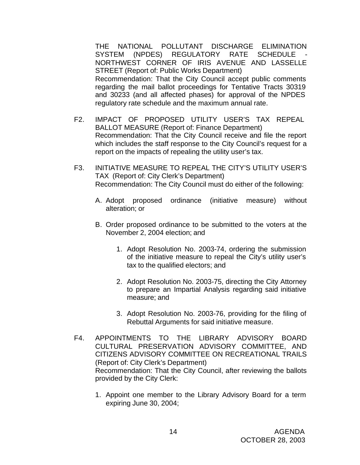THE NATIONAL POLLUTANT DISCHARGE ELIMINATION SYSTEM (NPDES) REGULATORY RATE SCHEDULE NORTHWEST CORNER OF IRIS AVENUE AND LASSELLE STREET (Report of: Public Works Department) Recommendation: That the City Council accept public comments regarding the mail ballot proceedings for Tentative Tracts 30319 and 30233 (and all affected phases) for approval of the NPDES regulatory rate schedule and the maximum annual rate.

- F2. IMPACT OF PROPOSED UTILITY USER'S TAX REPEAL BALLOT MEASURE (Report of: Finance Department) Recommendation: That the City Council receive and file the report which includes the staff response to the City Council's request for a report on the impacts of repealing the utility user's tax.
- F3. INITIATIVE MEASURE TO REPEAL THE CITY'S UTILITY USER'S TAX (Report of: City Clerk's Department) Recommendation: The City Council must do either of the following:
	- A. Adopt proposed ordinance (initiative measure) without alteration; or
	- B. Order proposed ordinance to be submitted to the voters at the November 2, 2004 election; and
		- 1. Adopt Resolution No. 2003-74, ordering the submission of the initiative measure to repeal the City's utility user's tax to the qualified electors; and
		- 2. Adopt Resolution No. 2003-75, directing the City Attorney to prepare an Impartial Analysis regarding said initiative measure; and
		- 3. Adopt Resolution No. 2003-76, providing for the filing of Rebuttal Arguments for said initiative measure.
- F4. APPOINTMENTS TO THE LIBRARY ADVISORY BOARD CULTURAL PRESERVATION ADVISORY COMMITTEE, AND CITIZENS ADVISORY COMMITTEE ON RECREATIONAL TRAILS (Report of: City Clerk's Department) Recommendation: That the City Council, after reviewing the ballots provided by the City Clerk:
	- 1. Appoint one member to the Library Advisory Board for a term expiring June 30, 2004;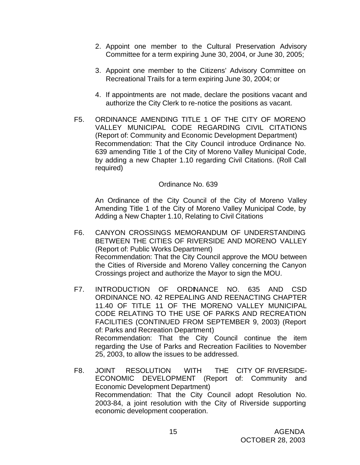- 2. Appoint one member to the Cultural Preservation Advisory Committee for a term expiring June 30, 2004, or June 30, 2005;
- 3. Appoint one member to the Citizens' Advisory Committee on Recreational Trails for a term expiring June 30, 2004; or
- 4. If appointments are not made, declare the positions vacant and authorize the City Clerk to re-notice the positions as vacant.
- F5. ORDINANCE AMENDING TITLE 1 OF THE CITY OF MORENO VALLEY MUNICIPAL CODE REGARDING CIVIL CITATIONS (Report of: Community and Economic Development Department) Recommendation: That the City Council introduce Ordinance No. 639 amending Title 1 of the City of Moreno Valley Municipal Code, by adding a new Chapter 1.10 regarding Civil Citations. (Roll Call required)

## Ordinance No. 639

An Ordinance of the City Council of the City of Moreno Valley Amending Title 1 of the City of Moreno Valley Municipal Code, by Adding a New Chapter 1.10, Relating to Civil Citations

- F6. CANYON CROSSINGS MEMORANDUM OF UNDERSTANDING BETWEEN THE CITIES OF RIVERSIDE AND MORENO VALLEY (Report of: Public Works Department) Recommendation: That the City Council approve the MOU between the Cities of Riverside and Moreno Valley concerning the Canyon Crossings project and authorize the Mayor to sign the MOU.
- F7. INTRODUCTION OF ORDINANCE NO. 635 AND CSD ORDINANCE NO. 42 REPEALING AND REENACTING CHAPTER 11.40 OF TITLE 11 OF THE MORENO VALLEY MUNICIPAL CODE RELATING TO THE USE OF PARKS AND RECREATION FACILITIES (CONTINUED FROM SEPTEMBER 9, 2003) (Report of: Parks and Recreation Department) Recommendation: That the City Council continue the item regarding the Use of Parks and Recreation Facilities to November 25, 2003, to allow the issues to be addressed.
- F8. JOINT RESOLUTION WITH THE CITY OF RIVERSIDE-ECONOMIC DEVELOPMENT (Report of: Community and Economic Development Department) Recommendation: That the City Council adopt Resolution No. 2003-84, a joint resolution with the City of Riverside supporting economic development cooperation.